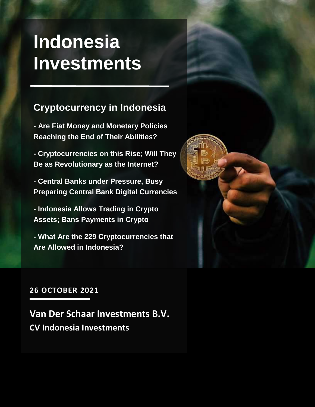## **Indonesia Investments**

### **Cryptocurrency in Indonesia**

**- Are Fiat Money and Monetary Policies Reaching the End of Their Abilities?**

**- Cryptocurrencies on this Rise; Will They Be as Revolutionary as the Internet?**

**- Central Banks under Pressure, Busy Preparing Central Bank Digital Currencies**

**- Indonesia Allows Trading in Crypto Assets; Bans Payments in Crypto** 

**- What Are the 229 Cryptocurrencies that Are Allowed in Indonesia?**



#### **26 OCTOBER 2021**

**Van Der Schaar Investments B.V. CV Indonesia Investments**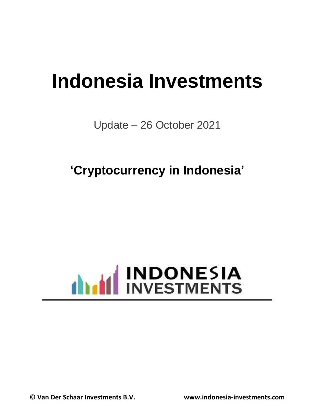# **Indonesia Investments**

Update – 26 October 2021

**'Cryptocurrency in Indonesia'**



**© Van Der Schaar Investments B.V. www.indonesia-investments.com**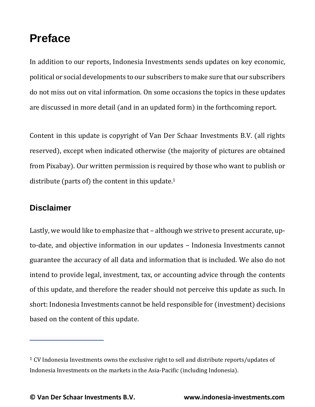### **Preface**

In addition to our reports, Indonesia Investments sends updates on key economic, political or social developments to our subscribers to make sure that our subscribers do not miss out on vital information. On some occasions the topics in these updates are discussed in more detail (and in an updated form) in the forthcoming report.

Content in this update is copyright of Van Der Schaar Investments B.V. (all rights reserved), except when indicated otherwise (the majority of pictures are obtained from Pixabay). Our written permission is required by those who want to publish or distribute (parts of) the content in this update.<sup>1</sup>

#### **Disclaimer**

Lastly, we would like to emphasize that – although we strive to present accurate, upto-date, and objective information in our updates – Indonesia Investments cannot guarantee the accuracy of all data and information that is included. We also do not intend to provide legal, investment, tax, or accounting advice through the contents of this update, and therefore the reader should not perceive this update as such. In short: Indonesia Investments cannot be held responsible for (investment) decisions based on the content of this update.

 $1$  CV Indonesia Investments owns the exclusive right to sell and distribute reports/updates of Indonesia Investments on the markets in the Asia-Pacific (including Indonesia).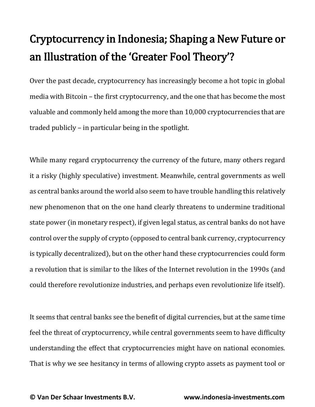## Cryptocurrency in Indonesia; Shaping a New Future or an Illustration of the 'Greater Fool Theory'?

Over the past decade, cryptocurrency has increasingly become a hot topic in global media with Bitcoin – the first cryptocurrency, and the one that has become the most valuable and commonly held among the more than 10,000 cryptocurrencies that are traded publicly – in particular being in the spotlight.

While many regard cryptocurrency the currency of the future, many others regard it a risky (highly speculative) investment. Meanwhile, central governments as well as central banks around the world also seem to have trouble handling this relatively new phenomenon that on the one hand clearly threatens to undermine traditional state power (in monetary respect), if given legal status, as central banks do not have control over the supply of crypto (opposed to central bank currency, cryptocurrency is typically decentralized), but on the other hand these cryptocurrencies could form a revolution that is similar to the likes of the Internet revolution in the 1990s (and could therefore revolutionize industries, and perhaps even revolutionize life itself).

It seems that central banks see the benefit of digital currencies, but at the same time feel the threat of cryptocurrency, while central governments seem to have difficulty understanding the effect that cryptocurrencies might have on national economies. That is why we see hesitancy in terms of allowing crypto assets as payment tool or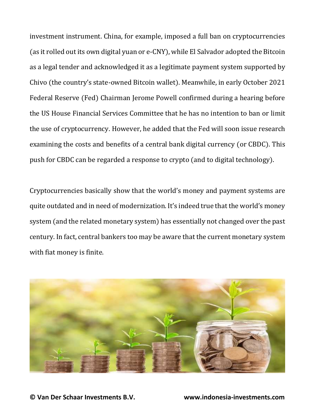investment instrument. China, for example, imposed a full ban on cryptocurrencies (as it rolled out its own digital yuan or e-CNY), while El Salvador adopted the Bitcoin as a legal tender and acknowledged it as a legitimate payment system supported by Chivo (the country's state-owned Bitcoin wallet). Meanwhile, in early October 2021 Federal Reserve (Fed) Chairman Jerome Powell confirmed during a hearing before the US House Financial Services Committee that he has no intention to ban or limit the use of cryptocurrency. However, he added that the Fed will soon issue research examining the costs and benefits of a central bank digital currency (or CBDC). This push for CBDC can be regarded a response to crypto (and to digital technology).

Cryptocurrencies basically show that the world's money and payment systems are quite outdated and in need of modernization. It's indeed true that the world's money system (and the related monetary system) has essentially not changed over the past century. In fact, central bankers too may be aware that the current monetary system with fiat money is finite.